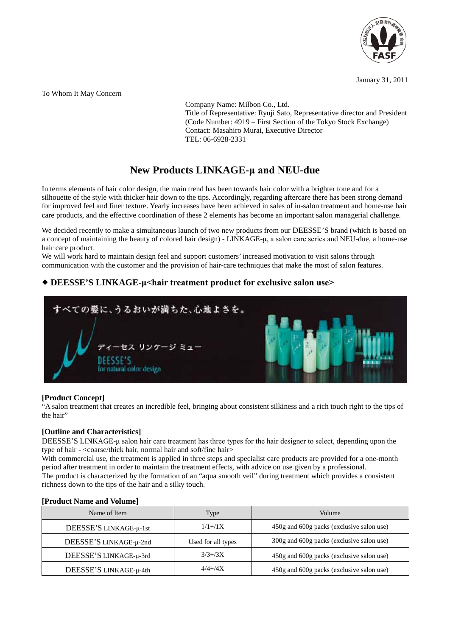

January 31, 2011

To Whom It May Concern

Company Name: Milbon Co., Ltd. Title of Representative: Ryuji Sato, Representative director and President (Code Number: 4919 – First Section of the Tokyo Stock Exchange) Contact: Masahiro Murai, Executive Director TEL: 06-6928-2331

# **New Products LINKAGE-μ and NEU-due**

In terms elements of hair color design, the main trend has been towards hair color with a brighter tone and for a silhouette of the style with thicker hair down to the tips. Accordingly, regarding aftercare there has been strong demand for improved feel and finer texture. Yearly increases have been achieved in sales of in-salon treatment and home-use hair care products, and the effective coordination of these 2 elements has become an important salon managerial challenge.

We decided recently to make a simultaneous launch of two new products from our DEESSE'S brand (which is based on a concept of maintaining the beauty of colored hair design) - LINKAGE-μ, a salon care series and NEU-due, a home-use hair care product.

We will work hard to maintain design feel and support customers' increased motivation to visit salons through communication with the customer and the provision of hair-care techniques that make the most of salon features.

# **DEESSE'S LINKAGE-μ<hair treatment product for exclusive salon use>**



## **[Product Concept]**

"A salon treatment that creates an incredible feel, bringing about consistent silkiness and a rich touch right to the tips of the hair"

## **[Outline and Characteristics]**

DEESSE'S LINKAGE-μ salon hair care treatment has three types for the hair designer to select, depending upon the type of hair - <coarse/thick hair, normal hair and soft/fine hair>

With commercial use, the treatment is applied in three steps and specialist care products are provided for a one-month period after treatment in order to maintain the treatment effects, with advice on use given by a professional. The product is characterized by the formation of an "aqua smooth veil" during treatment which provides a consistent

richness down to the tips of the hair and a silky touch.

| Name of Item           | Type               | Volume                                    |
|------------------------|--------------------|-------------------------------------------|
| DEESSE'S LINKAGE-µ-1st | $1/1 + /1X$        | 450g and 600g packs (exclusive salon use) |
| DEESSE'S LINKAGE-µ-2nd | Used for all types | 300g and 600g packs (exclusive salon use) |
| DEESSE'S LINKAGE-µ-3rd | $3/3 + 3X$         | 450g and 600g packs (exclusive salon use) |
| DEESSE'S LINKAGE-µ-4th | $4/4 + 4X$         | 450g and 600g packs (exclusive salon use) |

### **[Product Name and Volume]**